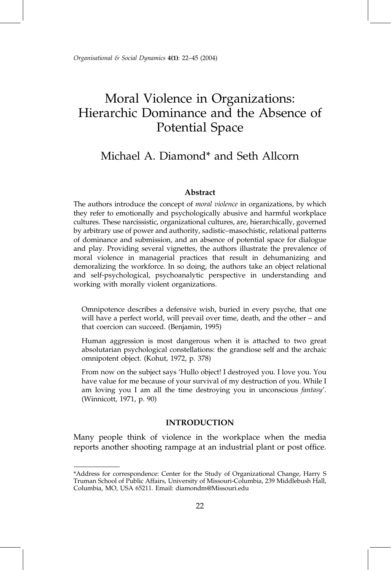# Moral Violence in Organizations: Hierarchic Dominance and the Absence of Potential Space

## Michael A. Diamond\* and Seth Allcorn

#### **Abstract**

The authors introduce the concept of *moral violence* in organizations, by which they refer to emotionally and psychologically abusive and harmful workplace cultures. These narcissistic, organizational cultures, are, hierarchically, governed by arbitrary use of power and authority, sadistic-masochistic, relational patterns of dominance and submission, and an absence of potential space for dialogue and play. Providing several vignettes, the authors illustrate the prevalence of moral violence in managerial practices that result in dehumanizing and demoralizing the workforce. In so doing, the authors take an object relational and self-psychological, psychoanalytic perspective in understanding and working with morally violent organizations.

Omnipotence describes a defensive wish, buried in every psyche, that one will have a perfect world, will prevail over time, death, and the other - and that coercion can succeed. (Benjamin, 1995)

Human aggression is most dangerous when it is attached to two great absolutarian psychological constellations: the grandiose self and the archaic omnipotent object. (Kohut, 1972, p. 378)

From now on the subject says 'Hullo object! I destroyed you. I love you. You have value for me because of your survival of my destruction of you. While I am loving you I am all the time destroying you in unconscious fantasy'. (Winnicott, 1971, p. 90)

#### INTRODUCTION

Many people think of violence in the workplace when the media reports another shooting rampage at an industrial plant or post office.

<sup>\*</sup>Address for correspondence: Center for the Study of Organizational Change, Harry S Truman School of Public Affairs, University of Missouri-Columbia, 239 Middlebush Hall, Columbia, MO, USA 65211. Email: diamondm@Missouri.edu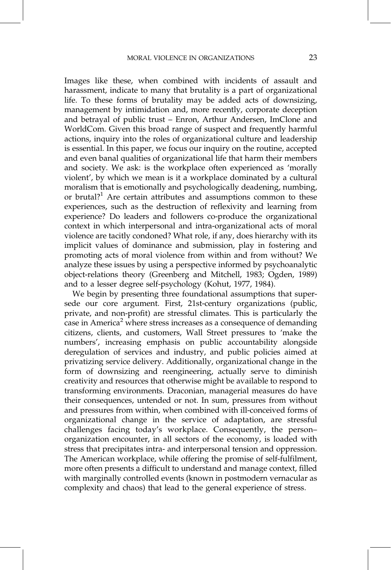Images like these, when combined with incidents of assault and harassment, indicate to many that brutality is a part of organizational life. To these forms of brutality may be added acts of downsizing, management by intimidation and, more recently, corporate deception and betrayal of public trust – Enron, Arthur Andersen, ImClone and WorldCom. Given this broad range of suspect and frequently harmful actions, inquiry into the roles of organizational culture and leadership is essential. In this paper, we focus our inquiry on the routine, accepted and even banal qualities of organizational life that harm their members and society. We ask: is the workplace often experienced as 'morally violent', by which we mean is it a workplace dominated by a cultural moralism that is emotionally and psychologically deadening, numbing, or brutal?<sup>1</sup> Are certain attributes and assumptions common to these experiences, such as the destruction of reflexivity and learning from experience? Do leaders and followers co-produce the organizational context in which interpersonal and intra-organizational acts of moral violence are tacitly condoned? What role, if any, does hierarchy with its implicit values of dominance and submission, play in fostering and promoting acts of moral violence from within and from without? We analyze these issues by using a perspective informed by psychoanalytic object-relations theory (Greenberg and Mitchell, 1983; Ogden, 1989) and to a lesser degree self-psychology (Kohut, 1977, 1984).

We begin by presenting three foundational assumptions that supersede our core argument. First, 21st-century organizations (public, private, and non-profit) are stressful climates. This is particularly the case in America<sup>2</sup> where stress increases as a consequence of demanding citizens, clients, and customers, Wall Street pressures to 'make the numbers', increasing emphasis on public accountability alongside deregulation of services and industry, and public policies aimed at privatizing service delivery. Additionally, organizational change in the form of downsizing and reengineering, actually serve to diminish creativity and resources that otherwise might be available to respond to transforming environments. Draconian, managerial measures do have their consequences, untended or not. In sum, pressures from without and pressures from within, when combined with ill-conceived forms of organizational change in the service of adaptation, are stressful challenges facing today's workplace. Consequently, the personorganization encounter, in all sectors of the economy, is loaded with stress that precipitates intra- and interpersonal tension and oppression. The American workplace, while offering the promise of self-fulfilment, more often presents a difficult to understand and manage context, filled with marginally controlled events (known in postmodern vernacular as complexity and chaos) that lead to the general experience of stress.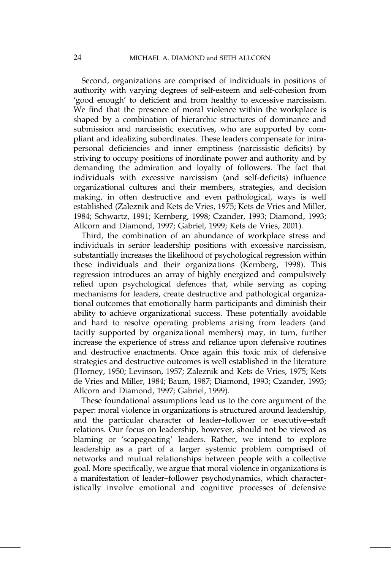Second, organizations are comprised of individuals in positions of authority with varying degrees of self-esteem and self-cohesion from 'good enough' to deficient and from healthy to excessive narcissism. We find that the presence of moral violence within the workplace is shaped by a combination of hierarchic structures of dominance and submission and narcissistic executives, who are supported by compliant and idealizing subordinates. These leaders compensate for intrapersonal deficiencies and inner emptiness (narcissistic deficits) by striving to occupy positions of inordinate power and authority and by demanding the admiration and loyalty of followers. The fact that individuals with excessive narcissism (and self-deficits) influence organizational cultures and their members, strategies, and decision making, in often destructive and even pathological, ways is well established (Zaleznik and Kets de Vries, 1975; Kets de Vries and Miller, 1984; Schwartz, 1991; Kernberg, 1998; Czander, 1993; Diamond, 1993; Allcorn and Diamond, 1997; Gabriel, 1999; Kets de Vries, 2001).

Third, the combination of an abundance of workplace stress and individuals in senior leadership positions with excessive narcissism, substantially increases the likelihood of psychological regression within these individuals and their organizations (Kernberg, 1998). This regression introduces an array of highly energized and compulsively relied upon psychological defences that, while serving as coping mechanisms for leaders, create destructive and pathological organizational outcomes that emotionally harm participants and diminish their ability to achieve organizational success. These potentially avoidable and hard to resolve operating problems arising from leaders (and tacitly supported by organizational members) may, in turn, further increase the experience of stress and reliance upon defensive routines and destructive enactments. Once again this toxic mix of defensive strategies and destructive outcomes is well established in the literature (Horney, 1950; Levinson, 1957; Zaleznik and Kets de Vries, 1975; Kets de Vries and Miller, 1984; Baum, 1987; Diamond, 1993; Czander, 1993; Allcorn and Diamond, 1997; Gabriel, 1999).

These foundational assumptions lead us to the core argument of the paper: moral violence in organizations is structured around leadership, and the particular character of leader-follower or executive-staff relations. Our focus on leadership, however, should not be viewed as blaming or 'scapegoating' leaders. Rather, we intend to explore leadership as a part of a larger systemic problem comprised of networks and mutual relationships between people with a collective goal. More specifically, we argue that moral violence in organizations is a manifestation of leader-follower psychodynamics, which characteristically involve emotional and cognitive processes of defensive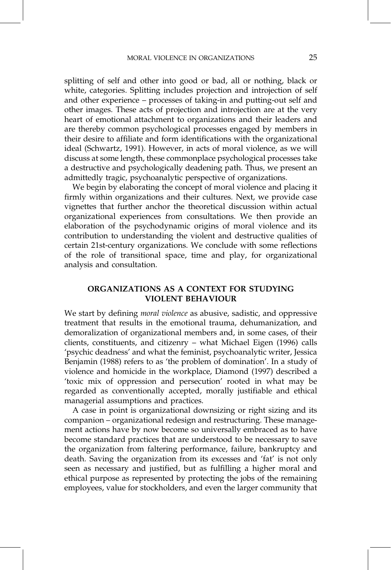splitting of self and other into good or bad, all or nothing, black or white, categories. Splitting includes projection and introjection of self and other experience – processes of taking-in and putting-out self and other images. These acts of projection and introjection are at the very heart of emotional attachment to organizations and their leaders and are thereby common psychological processes engaged by members in their desire to affiliate and form identifications with the organizational ideal (Schwartz, 1991). However, in acts of moral violence, as we will discuss at some length, these commonplace psychological processes take a destructive and psychologically deadening path. Thus, we present an admittedly tragic, psychoanalytic perspective of organizations.

We begin by elaborating the concept of moral violence and placing it firmly within organizations and their cultures. Next, we provide case vignettes that further anchor the theoretical discussion within actual organizational experiences from consultations. We then provide an elaboration of the psychodynamic origins of moral violence and its contribution to understanding the violent and destructive qualities of certain 21st-century organizations. We conclude with some reflections of the role of transitional space, time and play, for organizational analysis and consultation.

## ORGANIZATIONS AS A CONTEXT FOR STUDYING VIOLENT BEHAVIOUR

We start by defining *moral violence* as abusive, sadistic, and oppressive treatment that results in the emotional trauma, dehumanization, and demoralization of organizational members and, in some cases, of their clients, constituents, and citizenry - what Michael Eigen (1996) calls `psychic deadness' and what the feminist, psychoanalytic writer, Jessica Benjamin (1988) refers to as 'the problem of domination'. In a study of violence and homicide in the workplace, Diamond (1997) described a `toxic mix of oppression and persecution' rooted in what may be regarded as conventionally accepted, morally justifiable and ethical managerial assumptions and practices.

A case in point is organizational downsizing or right sizing and its companion – organizational redesign and restructuring. These management actions have by now become so universally embraced as to have become standard practices that are understood to be necessary to save the organization from faltering performance, failure, bankruptcy and death. Saving the organization from its excesses and 'fat' is not only seen as necessary and justified, but as fulfilling a higher moral and ethical purpose as represented by protecting the jobs of the remaining employees, value for stockholders, and even the larger community that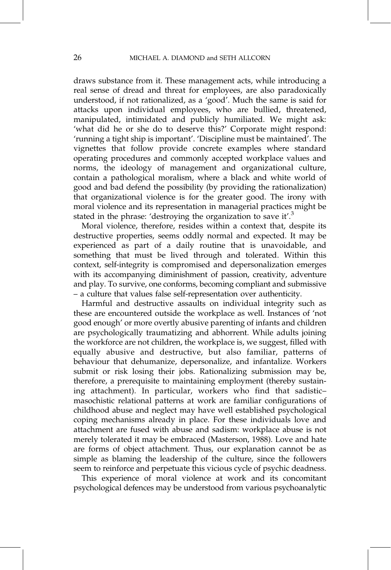draws substance from it. These management acts, while introducing a real sense of dread and threat for employees, are also paradoxically understood, if not rationalized, as a 'good'. Much the same is said for attacks upon individual employees, who are bullied, threatened, manipulated, intimidated and publicly humiliated. We might ask: `what did he or she do to deserve this?' Corporate might respond: `running a tight ship is important'. `Discipline must be maintained'. The vignettes that follow provide concrete examples where standard operating procedures and commonly accepted workplace values and norms, the ideology of management and organizational culture, contain a pathological moralism, where a black and white world of good and bad defend the possibility (by providing the rationalization) that organizational violence is for the greater good. The irony with moral violence and its representation in managerial practices might be stated in the phrase: 'destroying the organization to save it'. $3$ 

Moral violence, therefore, resides within a context that, despite its destructive properties, seems oddly normal and expected. It may be experienced as part of a daily routine that is unavoidable, and something that must be lived through and tolerated. Within this context, self-integrity is compromised and depersonalization emerges with its accompanying diminishment of passion, creativity, adventure and play. To survive, one conforms, becoming compliant and submissive ± a culture that values false self-representation over authenticity.

Harmful and destructive assaults on individual integrity such as these are encountered outside the workplace as well. Instances of `not good enough' or more overtly abusive parenting of infants and children are psychologically traumatizing and abhorrent. While adults joining the workforce are not children, the workplace is, we suggest, filled with equally abusive and destructive, but also familiar, patterns of behaviour that dehumanize, depersonalize, and infantalize. Workers submit or risk losing their jobs. Rationalizing submission may be, therefore, a prerequisite to maintaining employment (thereby sustaining attachment). In particular, workers who find that sadisticmasochistic relational patterns at work are familiar configurations of childhood abuse and neglect may have well established psychological coping mechanisms already in place. For these individuals love and attachment are fused with abuse and sadism: workplace abuse is not merely tolerated it may be embraced (Masterson, 1988). Love and hate are forms of object attachment. Thus, our explanation cannot be as simple as blaming the leadership of the culture, since the followers seem to reinforce and perpetuate this vicious cycle of psychic deadness.

This experience of moral violence at work and its concomitant psychological defences may be understood from various psychoanalytic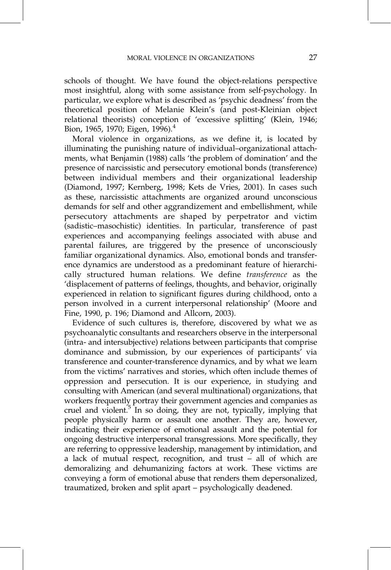schools of thought. We have found the object-relations perspective most insightful, along with some assistance from self-psychology. In particular, we explore what is described as `psychic deadness' from the theoretical position of Melanie Klein's (and post-Kleinian object relational theorists) conception of 'excessive splitting' (Klein, 1946; Bion, 1965, 1970; Eigen, 1996).<sup>4</sup>

Moral violence in organizations, as we define it, is located by illuminating the punishing nature of individual-organizational attachments, what Benjamin (1988) calls 'the problem of domination' and the presence of narcissistic and persecutory emotional bonds (transference) between individual members and their organizational leadership (Diamond, 1997; Kernberg, 1998; Kets de Vries, 2001). In cases such as these, narcissistic attachments are organized around unconscious demands for self and other aggrandizement and embellishment, while persecutory attachments are shaped by perpetrator and victim (sadistic–masochistic) identities. In particular, transference of past experiences and accompanying feelings associated with abuse and parental failures, are triggered by the presence of unconsciously familiar organizational dynamics. Also, emotional bonds and transference dynamics are understood as a predominant feature of hierarchically structured human relations. We define transference as the `displacement of patterns of feelings, thoughts, and behavior, originally experienced in relation to significant figures during childhood, onto a person involved in a current interpersonal relationship' (Moore and Fine, 1990, p. 196; Diamond and Allcorn, 2003).

Evidence of such cultures is, therefore, discovered by what we as psychoanalytic consultants and researchers observe in the interpersonal (intra- and intersubjective) relations between participants that comprise dominance and submission, by our experiences of participants' via transference and counter-transference dynamics, and by what we learn from the victims' narratives and stories, which often include themes of oppression and persecution. It is our experience, in studying and consulting with American (and several multinational) organizations, that workers frequently portray their government agencies and companies as cruel and violent. $5$  In so doing, they are not, typically, implying that people physically harm or assault one another. They are, however, indicating their experience of emotional assault and the potential for ongoing destructive interpersonal transgressions. More specifically, they are referring to oppressive leadership, management by intimidation, and a lack of mutual respect, recognition, and trust  $-$  all of which are demoralizing and dehumanizing factors at work. These victims are conveying a form of emotional abuse that renders them depersonalized, traumatized, broken and split apart - psychologically deadened.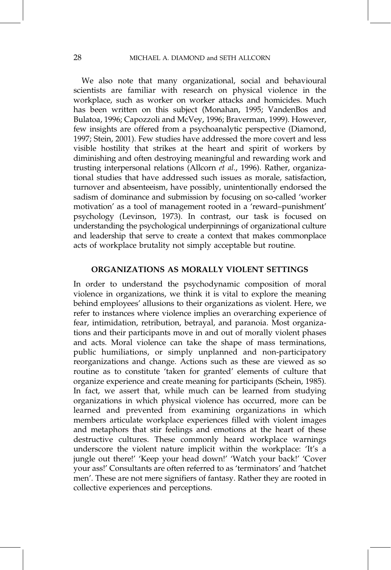We also note that many organizational, social and behavioural scientists are familiar with research on physical violence in the workplace, such as worker on worker attacks and homicides. Much has been written on this subject (Monahan, 1995; VandenBos and Bulatoa, 1996; Capozzoli and McVey, 1996; Braverman, 1999). However, few insights are offered from a psychoanalytic perspective (Diamond, 1997; Stein, 2001). Few studies have addressed the more covert and less visible hostility that strikes at the heart and spirit of workers by diminishing and often destroying meaningful and rewarding work and trusting interpersonal relations (Allcorn et al., 1996). Rather, organizational studies that have addressed such issues as morale, satisfaction, turnover and absenteeism, have possibly, unintentionally endorsed the sadism of dominance and submission by focusing on so-called 'worker motivation' as a tool of management rooted in a 'reward-punishment' psychology (Levinson, 1973). In contrast, our task is focused on understanding the psychological underpinnings of organizational culture and leadership that serve to create a context that makes commonplace acts of workplace brutality not simply acceptable but routine.

#### ORGANIZATIONS AS MORALLY VIOLENT SETTINGS

In order to understand the psychodynamic composition of moral violence in organizations, we think it is vital to explore the meaning behind employees' allusions to their organizations as violent. Here, we refer to instances where violence implies an overarching experience of fear, intimidation, retribution, betrayal, and paranoia. Most organizations and their participants move in and out of morally violent phases and acts. Moral violence can take the shape of mass terminations, public humiliations, or simply unplanned and non-participatory reorganizations and change. Actions such as these are viewed as so routine as to constitute 'taken for granted' elements of culture that organize experience and create meaning for participants (Schein, 1985). In fact, we assert that, while much can be learned from studying organizations in which physical violence has occurred, more can be learned and prevented from examining organizations in which members articulate workplace experiences filled with violent images and metaphors that stir feelings and emotions at the heart of these destructive cultures. These commonly heard workplace warnings underscore the violent nature implicit within the workplace: 'It's a jungle out there!' 'Keep your head down!' 'Watch your back!' 'Cover your ass!' Consultants are often referred to as 'terminators' and 'hatchet men'. These are not mere signifiers of fantasy. Rather they are rooted in collective experiences and perceptions.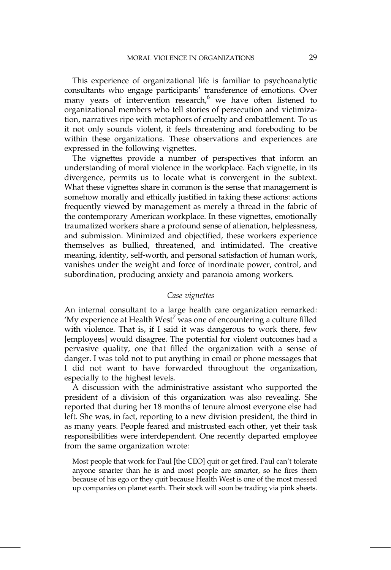This experience of organizational life is familiar to psychoanalytic consultants who engage participants' transference of emotions. Over many years of intervention research, $6$  we have often listened to organizational members who tell stories of persecution and victimization, narratives ripe with metaphors of cruelty and embattlement. To us it not only sounds violent, it feels threatening and foreboding to be within these organizations. These observations and experiences are expressed in the following vignettes.

The vignettes provide a number of perspectives that inform an understanding of moral violence in the workplace. Each vignette, in its divergence, permits us to locate what is convergent in the subtext. What these vignettes share in common is the sense that management is somehow morally and ethically justified in taking these actions: actions frequently viewed by management as merely a thread in the fabric of the contemporary American workplace. In these vignettes, emotionally traumatized workers share a profound sense of alienation, helplessness, and submission. Minimized and objectified, these workers experience themselves as bullied, threatened, and intimidated. The creative meaning, identity, self-worth, and personal satisfaction of human work, vanishes under the weight and force of inordinate power, control, and subordination, producing anxiety and paranoia among workers.

#### Case vignettes

An internal consultant to a large health care organization remarked: 'My experience at Health West<sup>7</sup> was one of encountering a culture filled with violence. That is, if I said it was dangerous to work there, few [employees] would disagree. The potential for violent outcomes had a pervasive quality, one that filled the organization with a sense of danger. I was told not to put anything in email or phone messages that I did not want to have forwarded throughout the organization, especially to the highest levels.

A discussion with the administrative assistant who supported the president of a division of this organization was also revealing. She reported that during her 18 months of tenure almost everyone else had left. She was, in fact, reporting to a new division president, the third in as many years. People feared and mistrusted each other, yet their task responsibilities were interdependent. One recently departed employee from the same organization wrote:

Most people that work for Paul [the CEO] quit or get fired. Paul can't tolerate anyone smarter than he is and most people are smarter, so he fires them because of his ego or they quit because Health West is one of the most messed up companies on planet earth. Their stock will soon be trading via pink sheets.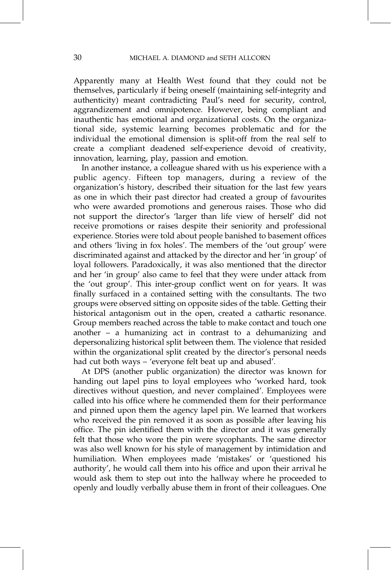Apparently many at Health West found that they could not be themselves, particularly if being oneself (maintaining self-integrity and authenticity) meant contradicting Paul's need for security, control, aggrandizement and omnipotence. However, being compliant and inauthentic has emotional and organizational costs. On the organizational side, systemic learning becomes problematic and for the individual the emotional dimension is split-off from the real self to create a compliant deadened self-experience devoid of creativity, innovation, learning, play, passion and emotion.

In another instance, a colleague shared with us his experience with a public agency. Fifteen top managers, during a review of the organization's history, described their situation for the last few years as one in which their past director had created a group of favourites who were awarded promotions and generous raises. Those who did not support the director's 'larger than life view of herself' did not receive promotions or raises despite their seniority and professional experience. Stories were told about people banished to basement offices and others 'living in fox holes'. The members of the 'out group' were discriminated against and attacked by the director and her 'in group' of loyal followers. Paradoxically, it was also mentioned that the director and her 'in group' also came to feel that they were under attack from the 'out group'. This inter-group conflict went on for years. It was finally surfaced in a contained setting with the consultants. The two groups were observed sitting on opposite sides of the table. Getting their historical antagonism out in the open, created a cathartic resonance. Group members reached across the table to make contact and touch one another  $-$  a humanizing act in contrast to a dehumanizing and depersonalizing historical split between them. The violence that resided within the organizational split created by the director's personal needs had cut both ways – 'everyone felt beat up and abused'.

At DPS (another public organization) the director was known for handing out lapel pins to loyal employees who 'worked hard, took directives without question, and never complained'. Employees were called into his office where he commended them for their performance and pinned upon them the agency lapel pin. We learned that workers who received the pin removed it as soon as possible after leaving his office. The pin identified them with the director and it was generally felt that those who wore the pin were sycophants. The same director was also well known for his style of management by intimidation and humiliation. When employees made 'mistakes' or 'questioned his authority', he would call them into his office and upon their arrival he would ask them to step out into the hallway where he proceeded to openly and loudly verbally abuse them in front of their colleagues. One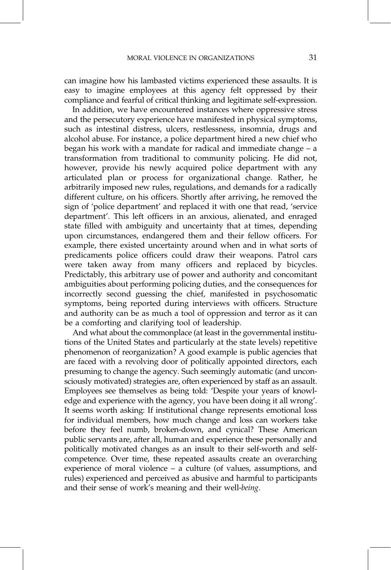can imagine how his lambasted victims experienced these assaults. It is easy to imagine employees at this agency felt oppressed by their compliance and fearful of critical thinking and legitimate self-expression.

In addition, we have encountered instances where oppressive stress and the persecutory experience have manifested in physical symptoms, such as intestinal distress, ulcers, restlessness, insomnia, drugs and alcohol abuse. For instance, a police department hired a new chief who began his work with a mandate for radical and immediate change  $-\alpha$ transformation from traditional to community policing. He did not, however, provide his newly acquired police department with any articulated plan or process for organizational change. Rather, he arbitrarily imposed new rules, regulations, and demands for a radically different culture, on his officers. Shortly after arriving, he removed the sign of 'police department' and replaced it with one that read, 'service department'. This left officers in an anxious, alienated, and enraged state filled with ambiguity and uncertainty that at times, depending upon circumstances, endangered them and their fellow officers. For example, there existed uncertainty around when and in what sorts of predicaments police officers could draw their weapons. Patrol cars were taken away from many officers and replaced by bicycles. Predictably, this arbitrary use of power and authority and concomitant ambiguities about performing policing duties, and the consequences for incorrectly second guessing the chief, manifested in psychosomatic symptoms, being reported during interviews with officers. Structure and authority can be as much a tool of oppression and terror as it can be a comforting and clarifying tool of leadership.

And what about the commonplace (at least in the governmental institutions of the United States and particularly at the state levels) repetitive phenomenon of reorganization? A good example is public agencies that are faced with a revolving door of politically appointed directors, each presuming to change the agency. Such seemingly automatic (and unconsciously motivated) strategies are, often experienced by staff as an assault. Employees see themselves as being told: 'Despite your years of knowledge and experience with the agency, you have been doing it all wrong'. It seems worth asking: If institutional change represents emotional loss for individual members, how much change and loss can workers take before they feel numb, broken-down, and cynical? These American public servants are, after all, human and experience these personally and politically motivated changes as an insult to their self-worth and selfcompetence. Over time, these repeated assaults create an overarching experience of moral violence  $-$  a culture (of values, assumptions, and rules) experienced and perceived as abusive and harmful to participants and their sense of work's meaning and their well-being.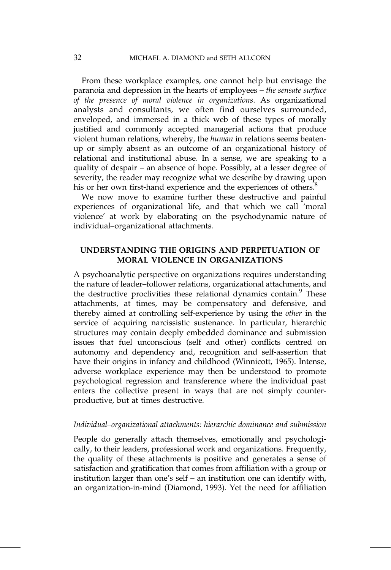From these workplace examples, one cannot help but envisage the paranoia and depression in the hearts of employees - the sensate surface of the presence of moral violence in organizations. As organizational analysts and consultants, we often find ourselves surrounded, enveloped, and immersed in a thick web of these types of morally justified and commonly accepted managerial actions that produce violent human relations, whereby, the human in relations seems beatenup or simply absent as an outcome of an organizational history of relational and institutional abuse. In a sense, we are speaking to a quality of despair – an absence of hope. Possibly, at a lesser degree of severity, the reader may recognize what we describe by drawing upon his or her own first-hand experience and the experiences of others.<sup>8</sup>

We now move to examine further these destructive and painful experiences of organizational life, and that which we call 'moral violence' at work by elaborating on the psychodynamic nature of individual-organizational attachments.

## UNDERSTANDING THE ORIGINS AND PERPETUATION OF MORAL VIOLENCE IN ORGANIZATIONS

A psychoanalytic perspective on organizations requires understanding the nature of leader-follower relations, organizational attachments, and the destructive proclivities these relational dynamics contain.<sup>9</sup> These attachments, at times, may be compensatory and defensive, and thereby aimed at controlling self-experience by using the other in the service of acquiring narcissistic sustenance. In particular, hierarchic structures may contain deeply embedded dominance and submission issues that fuel unconscious (self and other) conflicts centred on autonomy and dependency and, recognition and self-assertion that have their origins in infancy and childhood (Winnicott, 1965). Intense, adverse workplace experience may then be understood to promote psychological regression and transference where the individual past enters the collective present in ways that are not simply counterproductive, but at times destructive.

#### Individual–organizational attachments: hierarchic dominance and submission

People do generally attach themselves, emotionally and psychologically, to their leaders, professional work and organizations. Frequently, the quality of these attachments is positive and generates a sense of satisfaction and gratification that comes from affiliation with a group or institution larger than one's self  $-$  an institution one can identify with, an organization-in-mind (Diamond, 1993). Yet the need for affiliation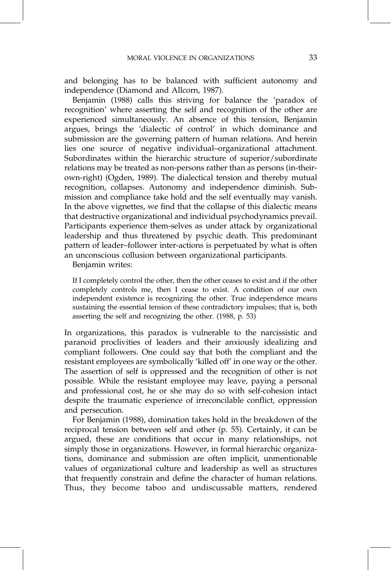and belonging has to be balanced with sufficient autonomy and independence (Diamond and Allcorn, 1987).

Benjamin (1988) calls this striving for balance the 'paradox of recognition' where asserting the self and recognition of the other are experienced simultaneously. An absence of this tension, Benjamin argues, brings the `dialectic of control' in which dominance and submission are the governing pattern of human relations. And herein lies one source of negative individual-organizational attachment. Subordinates within the hierarchic structure of superior/subordinate relations may be treated as non-persons rather than as persons (in-theirown-right) (Ogden, 1989). The dialectical tension and thereby mutual recognition, collapses. Autonomy and independence diminish. Submission and compliance take hold and the self eventually may vanish. In the above vignettes, we find that the collapse of this dialectic means that destructive organizational and individual psychodynamics prevail. Participants experience them-selves as under attack by organizational leadership and thus threatened by psychic death. This predominant pattern of leader-follower inter-actions is perpetuated by what is often an unconscious collusion between organizational participants.

Benjamin writes:

If I completely control the other, then the other ceases to exist and if the other completely controls me, then I cease to exist. A condition of our own independent existence is recognizing the other. True independence means sustaining the essential tension of these contradictory impulses; that is, both asserting the self and recognizing the other. (1988, p. 53)

In organizations, this paradox is vulnerable to the narcissistic and paranoid proclivities of leaders and their anxiously idealizing and compliant followers. One could say that both the compliant and the resistant employees are symbolically 'killed off' in one way or the other. The assertion of self is oppressed and the recognition of other is not possible. While the resistant employee may leave, paying a personal and professional cost, he or she may do so with self-cohesion intact despite the traumatic experience of irreconcilable conflict, oppression and persecution.

For Benjamin (1988), domination takes hold in the breakdown of the reciprocal tension between self and other (p. 55). Certainly, it can be argued, these are conditions that occur in many relationships, not simply those in organizations. However, in formal hierarchic organizations, dominance and submission are often implicit, unmentionable values of organizational culture and leadership as well as structures that frequently constrain and define the character of human relations. Thus, they become taboo and undiscussable matters, rendered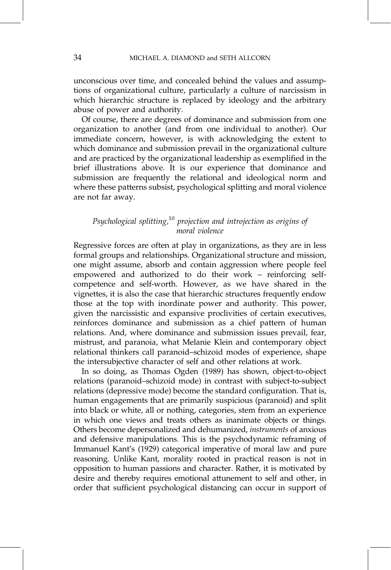unconscious over time, and concealed behind the values and assumptions of organizational culture, particularly a culture of narcissism in which hierarchic structure is replaced by ideology and the arbitrary abuse of power and authority.

Of course, there are degrees of dominance and submission from one organization to another (and from one individual to another). Our immediate concern, however, is with acknowledging the extent to which dominance and submission prevail in the organizational culture and are practiced by the organizational leadership as exemplified in the brief illustrations above. It is our experience that dominance and submission are frequently the relational and ideological norm and where these patterns subsist, psychological splitting and moral violence are not far away.

## Psychological splitting,<sup>10</sup> projection and introjection as origins of moral violence

Regressive forces are often at play in organizations, as they are in less formal groups and relationships. Organizational structure and mission, one might assume, absorb and contain aggression where people feel empowered and authorized to do their work - reinforcing selfcompetence and self-worth. However, as we have shared in the vignettes, it is also the case that hierarchic structures frequently endow those at the top with inordinate power and authority. This power, given the narcissistic and expansive proclivities of certain executives, reinforces dominance and submission as a chief pattern of human relations. And, where dominance and submission issues prevail, fear, mistrust, and paranoia, what Melanie Klein and contemporary object relational thinkers call paranoid-schizoid modes of experience, shape the intersubjective character of self and other relations at work.

In so doing, as Thomas Ogden (1989) has shown, object-to-object relations (paranoid-schizoid mode) in contrast with subject-to-subject relations (depressive mode) become the standard configuration. That is, human engagements that are primarily suspicious (paranoid) and split into black or white, all or nothing, categories, stem from an experience in which one views and treats others as inanimate objects or things. Others become depersonalized and dehumanized, instruments of anxious and defensive manipulations. This is the psychodynamic reframing of Immanuel Kant's (1929) categorical imperative of moral law and pure reasoning. Unlike Kant, morality rooted in practical reason is not in opposition to human passions and character. Rather, it is motivated by desire and thereby requires emotional attunement to self and other, in order that sufficient psychological distancing can occur in support of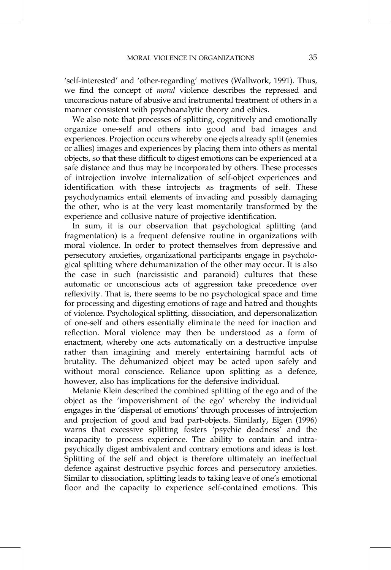`self-interested' and `other-regarding' motives (Wallwork, 1991). Thus, we find the concept of moral violence describes the repressed and unconscious nature of abusive and instrumental treatment of others in a manner consistent with psychoanalytic theory and ethics.

We also note that processes of splitting, cognitively and emotionally organize one-self and others into good and bad images and experiences. Projection occurs whereby one ejects already split (enemies or allies) images and experiences by placing them into others as mental objects, so that these difficult to digest emotions can be experienced at a safe distance and thus may be incorporated by others. These processes of introjection involve internalization of self-object experiences and identification with these introjects as fragments of self. These psychodynamics entail elements of invading and possibly damaging the other, who is at the very least momentarily transformed by the experience and collusive nature of projective identification.

In sum, it is our observation that psychological splitting (and fragmentation) is a frequent defensive routine in organizations with moral violence. In order to protect themselves from depressive and persecutory anxieties, organizational participants engage in psychological splitting where dehumanization of the other may occur. It is also the case in such (narcissistic and paranoid) cultures that these automatic or unconscious acts of aggression take precedence over reflexivity. That is, there seems to be no psychological space and time for processing and digesting emotions of rage and hatred and thoughts of violence. Psychological splitting, dissociation, and depersonalization of one-self and others essentially eliminate the need for inaction and reflection. Moral violence may then be understood as a form of enactment, whereby one acts automatically on a destructive impulse rather than imagining and merely entertaining harmful acts of brutality. The dehumanized object may be acted upon safely and without moral conscience. Reliance upon splitting as a defence, however, also has implications for the defensive individual.

Melanie Klein described the combined splitting of the ego and of the object as the `impoverishment of the ego' whereby the individual engages in the `dispersal of emotions' through processes of introjection and projection of good and bad part-objects. Similarly, Eigen (1996) warns that excessive splitting fosters 'psychic deadness' and the incapacity to process experience. The ability to contain and intrapsychically digest ambivalent and contrary emotions and ideas is lost. Splitting of the self and object is therefore ultimately an ineffectual defence against destructive psychic forces and persecutory anxieties. Similar to dissociation, splitting leads to taking leave of one's emotional floor and the capacity to experience self-contained emotions. This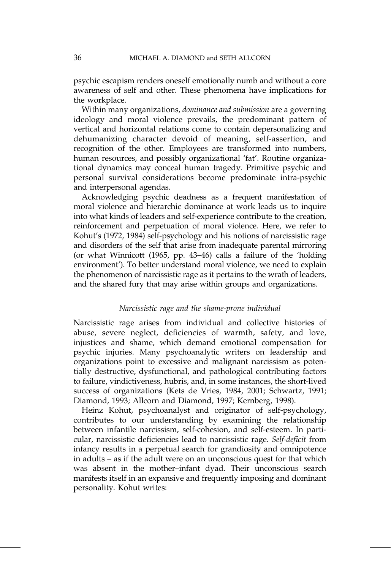psychic escapism renders oneself emotionally numb and without a core awareness of self and other. These phenomena have implications for the workplace.

Within many organizations, dominance and submission are a governing ideology and moral violence prevails, the predominant pattern of vertical and horizontal relations come to contain depersonalizing and dehumanizing character devoid of meaning, self-assertion, and recognition of the other. Employees are transformed into numbers, human resources, and possibly organizational 'fat'. Routine organizational dynamics may conceal human tragedy. Primitive psychic and personal survival considerations become predominate intra-psychic and interpersonal agendas.

Acknowledging psychic deadness as a frequent manifestation of moral violence and hierarchic dominance at work leads us to inquire into what kinds of leaders and self-experience contribute to the creation, reinforcement and perpetuation of moral violence. Here, we refer to Kohut's (1972, 1984) self-psychology and his notions of narcissistic rage and disorders of the self that arise from inadequate parental mirroring (or what Winnicott  $(1965, pp. 43–46)$  calls a failure of the 'holding environment'). To better understand moral violence, we need to explain the phenomenon of narcissistic rage as it pertains to the wrath of leaders, and the shared fury that may arise within groups and organizations.

#### Narcissistic rage and the shame-prone individual

Narcissistic rage arises from individual and collective histories of abuse, severe neglect, deficiencies of warmth, safety, and love, injustices and shame, which demand emotional compensation for psychic injuries. Many psychoanalytic writers on leadership and organizations point to excessive and malignant narcissism as potentially destructive, dysfunctional, and pathological contributing factors to failure, vindictiveness, hubris, and, in some instances, the short-lived success of organizations (Kets de Vries, 1984, 2001; Schwartz, 1991; Diamond, 1993; Allcorn and Diamond, 1997; Kernberg, 1998).

Heinz Kohut, psychoanalyst and originator of self-psychology, contributes to our understanding by examining the relationship between infantile narcissism, self-cohesion, and self-esteem. In particular, narcissistic deficiencies lead to narcissistic rage. Self-deficit from infancy results in a perpetual search for grandiosity and omnipotence in adults  $-$  as if the adult were on an unconscious quest for that which was absent in the mother-infant dyad. Their unconscious search manifests itself in an expansive and frequently imposing and dominant personality. Kohut writes: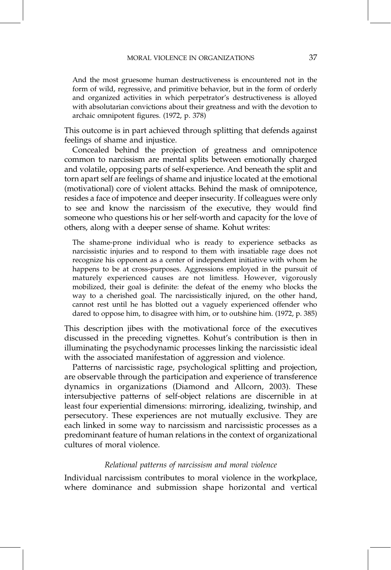And the most gruesome human destructiveness is encountered not in the form of wild, regressive, and primitive behavior, but in the form of orderly and organized activities in which perpetrator's destructiveness is alloyed with absolutarian convictions about their greatness and with the devotion to archaic omnipotent figures. (1972, p. 378)

This outcome is in part achieved through splitting that defends against feelings of shame and injustice.

Concealed behind the projection of greatness and omnipotence common to narcissism are mental splits between emotionally charged and volatile, opposing parts of self-experience. And beneath the split and torn apart self are feelings of shame and injustice located at the emotional (motivational) core of violent attacks. Behind the mask of omnipotence, resides a face of impotence and deeper insecurity. If colleagues were only to see and know the narcissism of the executive, they would find someone who questions his or her self-worth and capacity for the love of others, along with a deeper sense of shame. Kohut writes:

The shame-prone individual who is ready to experience setbacks as narcissistic injuries and to respond to them with insatiable rage does not recognize his opponent as a center of independent initiative with whom he happens to be at cross-purposes. Aggressions employed in the pursuit of maturely experienced causes are not limitless. However, vigorously mobilized, their goal is definite: the defeat of the enemy who blocks the way to a cherished goal. The narcissistically injured, on the other hand, cannot rest until he has blotted out a vaguely experienced offender who dared to oppose him, to disagree with him, or to outshine him. (1972, p. 385)

This description jibes with the motivational force of the executives discussed in the preceding vignettes. Kohut's contribution is then in illuminating the psychodynamic processes linking the narcissistic ideal with the associated manifestation of aggression and violence.

Patterns of narcissistic rage, psychological splitting and projection, are observable through the participation and experience of transference dynamics in organizations (Diamond and Allcorn, 2003). These intersubjective patterns of self-object relations are discernible in at least four experiential dimensions: mirroring, idealizing, twinship, and persecutory. These experiences are not mutually exclusive. They are each linked in some way to narcissism and narcissistic processes as a predominant feature of human relations in the context of organizational cultures of moral violence.

#### Relational patterns of narcissism and moral violence

Individual narcissism contributes to moral violence in the workplace, where dominance and submission shape horizontal and vertical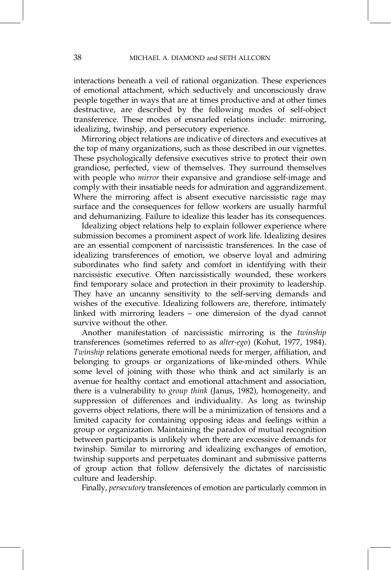interactions beneath a veil of rational organization. These experiences of emotional attachment, which seductively and unconsciously draw people together in ways that are at times productive and at other times destructive, are described by the following modes of self-object transference. These modes of ensnarled relations include: mirroring, idealizing, twinship, and persecutory experience.

Mirroring object relations are indicative of directors and executives at the top of many organizations, such as those described in our vignettes. These psychologically defensive executives strive to protect their own grandiose, perfected, view of themselves. They surround themselves with people who *mirror* their expansive and grandiose self-image and comply with their insatiable needs for admiration and aggrandizement. Where the mirroring affect is absent executive narcissistic rage may surface and the consequences for fellow workers are usually harmful and dehumanizing. Failure to idealize this leader has its consequences.

Idealizing object relations help to explain follower experience where submission becomes a prominent aspect of work life. Idealizing desires are an essential component of narcissistic transferences. In the case of idealizing transferences of emotion, we observe loyal and admiring subordinates who find safety and comfort in identifying with their narcissistic executive. Often narcissistically wounded, these workers find temporary solace and protection in their proximity to leadership. They have an uncanny sensitivity to the self-serving demands and wishes of the executive. Idealizing followers are, therefore, intimately linked with mirroring leaders  $-$  one dimension of the dyad cannot survive without the other.

Another manifestation of narcissistic mirroring is the twinship transferences (sometimes referred to as alter-ego) (Kohut, 1977, 1984). Twinship relations generate emotional needs for merger, affiliation, and belonging to groups or organizations of like-minded others. While some level of joining with those who think and act similarly is an avenue for healthy contact and emotional attachment and association, there is a vulnerability to *group think* (Janus, 1982), homogeneity, and suppression of differences and individuality. As long as twinship governs object relations, there will be a minimization of tensions and a limited capacity for containing opposing ideas and feelings within a group or organization. Maintaining the paradox of mutual recognition between participants is unlikely when there are excessive demands for twinship. Similar to mirroring and idealizing exchanges of emotion, twinship supports and perpetuates dominant and submissive patterns of group action that follow defensively the dictates of narcissistic culture and leadership.

Finally, persecutory transferences of emotion are particularly common in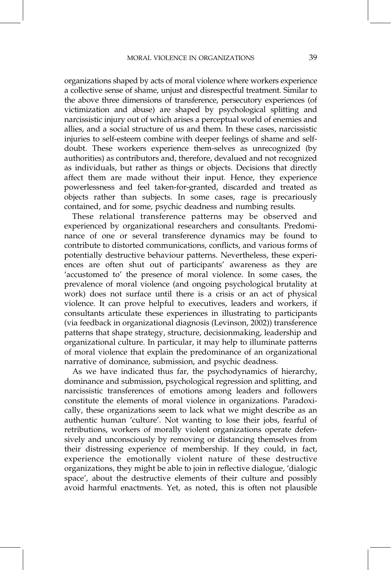organizations shaped by acts of moral violence where workers experience a collective sense of shame, unjust and disrespectful treatment. Similar to the above three dimensions of transference, persecutory experiences (of victimization and abuse) are shaped by psychological splitting and narcissistic injury out of which arises a perceptual world of enemies and allies, and a social structure of us and them. In these cases, narcissistic injuries to self-esteem combine with deeper feelings of shame and selfdoubt. These workers experience them-selves as unrecognized (by authorities) as contributors and, therefore, devalued and not recognized as individuals, but rather as things or objects. Decisions that directly affect them are made without their input. Hence, they experience powerlessness and feel taken-for-granted, discarded and treated as objects rather than subjects. In some cases, rage is precariously contained, and for some, psychic deadness and numbing results.

These relational transference patterns may be observed and experienced by organizational researchers and consultants. Predominance of one or several transference dynamics may be found to contribute to distorted communications, conflicts, and various forms of potentially destructive behaviour patterns. Nevertheless, these experiences are often shut out of participants' awareness as they are 'accustomed to' the presence of moral violence. In some cases, the prevalence of moral violence (and ongoing psychological brutality at work) does not surface until there is a crisis or an act of physical violence. It can prove helpful to executives, leaders and workers, if consultants articulate these experiences in illustrating to participants (via feedback in organizational diagnosis (Levinson, 2002)) transference patterns that shape strategy, structure, decisionmaking, leadership and organizational culture. In particular, it may help to illuminate patterns of moral violence that explain the predominance of an organizational narrative of dominance, submission, and psychic deadness.

As we have indicated thus far, the psychodynamics of hierarchy, dominance and submission, psychological regression and splitting, and narcissistic transferences of emotions among leaders and followers constitute the elements of moral violence in organizations. Paradoxically, these organizations seem to lack what we might describe as an authentic human 'culture'. Not wanting to lose their jobs, fearful of retributions, workers of morally violent organizations operate defensively and unconsciously by removing or distancing themselves from their distressing experience of membership. If they could, in fact, experience the emotionally violent nature of these destructive organizations, they might be able to join in reflective dialogue, `dialogic space', about the destructive elements of their culture and possibly avoid harmful enactments. Yet, as noted, this is often not plausible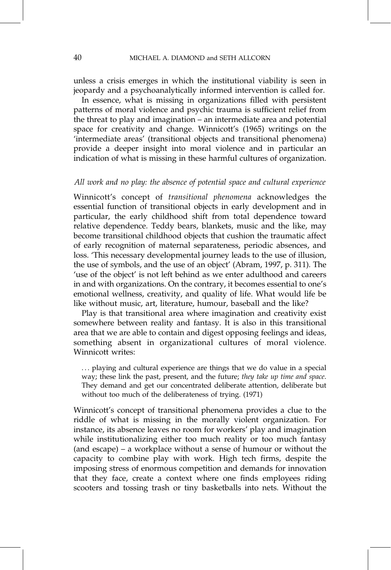unless a crisis emerges in which the institutional viability is seen in jeopardy and a psychoanalytically informed intervention is called for.

In essence, what is missing in organizations filled with persistent patterns of moral violence and psychic trauma is sufficient relief from the threat to play and imagination  $-$  an intermediate area and potential space for creativity and change. Winnicott's (1965) writings on the `intermediate areas' (transitional objects and transitional phenomena) provide a deeper insight into moral violence and in particular an indication of what is missing in these harmful cultures of organization.

#### All work and no play: the absence of potential space and cultural experience

Winnicott's concept of transitional phenomena acknowledges the essential function of transitional objects in early development and in particular, the early childhood shift from total dependence toward relative dependence. Teddy bears, blankets, music and the like, may become transitional childhood objects that cushion the traumatic affect of early recognition of maternal separateness, periodic absences, and loss. This necessary developmental journey leads to the use of illusion, the use of symbols, and the use of an object' (Abram, 1997, p. 311). The 'use of the object' is not left behind as we enter adulthood and careers in and with organizations. On the contrary, it becomes essential to one's emotional wellness, creativity, and quality of life. What would life be like without music, art, literature, humour, baseball and the like?

Play is that transitional area where imagination and creativity exist somewhere between reality and fantasy. It is also in this transitional area that we are able to contain and digest opposing feelings and ideas, something absent in organizational cultures of moral violence. Winnicott writes:

... playing and cultural experience are things that we do value in a special way; these link the past, present, and the future; they take up time and space. They demand and get our concentrated deliberate attention, deliberate but without too much of the deliberateness of trying. (1971)

Winnicott's concept of transitional phenomena provides a clue to the riddle of what is missing in the morally violent organization. For instance, its absence leaves no room for workers' play and imagination while institutionalizing either too much reality or too much fantasy (and escape)  $-$  a workplace without a sense of humour or without the capacity to combine play with work. High tech firms, despite the imposing stress of enormous competition and demands for innovation that they face, create a context where one finds employees riding scooters and tossing trash or tiny basketballs into nets. Without the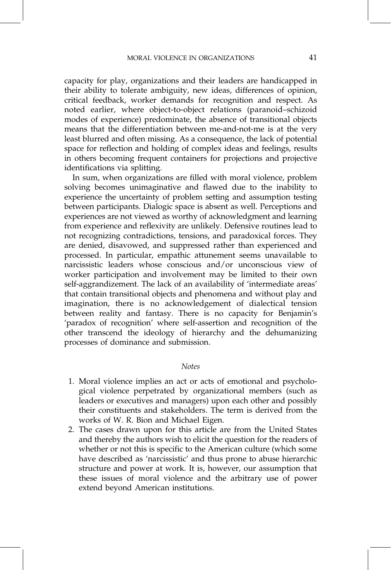capacity for play, organizations and their leaders are handicapped in their ability to tolerate ambiguity, new ideas, differences of opinion, critical feedback, worker demands for recognition and respect. As noted earlier, where object-to-object relations (paranoid-schizoid modes of experience) predominate, the absence of transitional objects means that the differentiation between me-and-not-me is at the very least blurred and often missing. As a consequence, the lack of potential space for reflection and holding of complex ideas and feelings, results in others becoming frequent containers for projections and projective identifications via splitting.

In sum, when organizations are filled with moral violence, problem solving becomes unimaginative and flawed due to the inability to experience the uncertainty of problem setting and assumption testing between participants. Dialogic space is absent as well. Perceptions and experiences are not viewed as worthy of acknowledgment and learning from experience and reflexivity are unlikely. Defensive routines lead to not recognizing contradictions, tensions, and paradoxical forces. They are denied, disavowed, and suppressed rather than experienced and processed. In particular, empathic attunement seems unavailable to narcissistic leaders whose conscious and/or unconscious view of worker participation and involvement may be limited to their own self-aggrandizement. The lack of an availability of 'intermediate areas' that contain transitional objects and phenomena and without play and imagination, there is no acknowledgement of dialectical tension between reality and fantasy. There is no capacity for Benjamin's `paradox of recognition' where self-assertion and recognition of the other transcend the ideology of hierarchy and the dehumanizing processes of dominance and submission.

#### **Notes**

- 1. Moral violence implies an act or acts of emotional and psychological violence perpetrated by organizational members (such as leaders or executives and managers) upon each other and possibly their constituents and stakeholders. The term is derived from the works of W. R. Bion and Michael Eigen.
- 2. The cases drawn upon for this article are from the United States and thereby the authors wish to elicit the question for the readers of whether or not this is specific to the American culture (which some have described as 'narcissistic' and thus prone to abuse hierarchic structure and power at work. It is, however, our assumption that these issues of moral violence and the arbitrary use of power extend beyond American institutions.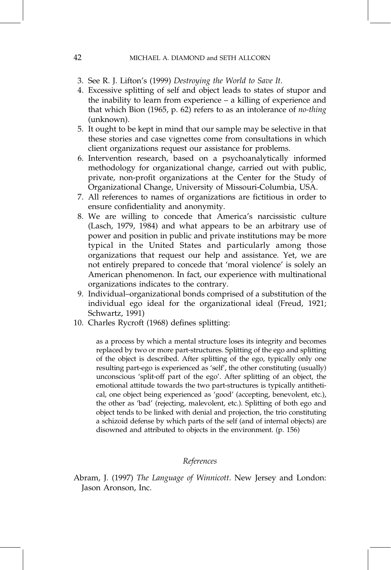#### 42 MICHAEL A. DIAMOND and SETH ALLCORN

- 3. See R. J. Lifton's (1999) Destroying the World to Save It.
- 4. Excessive splitting of self and object leads to states of stupor and the inability to learn from experience  $-$  a killing of experience and that which Bion (1965, p. 62) refers to as an intolerance of no-thing (unknown).
- 5. It ought to be kept in mind that our sample may be selective in that these stories and case vignettes come from consultations in which client organizations request our assistance for problems.
- 6. Intervention research, based on a psychoanalytically informed methodology for organizational change, carried out with public, private, non-profit organizations at the Center for the Study of Organizational Change, University of Missouri-Columbia, USA.
- 7. All references to names of organizations are fictitious in order to ensure confidentiality and anonymity.
- 8. We are willing to concede that America's narcissistic culture (Lasch, 1979, 1984) and what appears to be an arbitrary use of power and position in public and private institutions may be more typical in the United States and particularly among those organizations that request our help and assistance. Yet, we are not entirely prepared to concede that 'moral violence' is solely an American phenomenon. In fact, our experience with multinational organizations indicates to the contrary.
- 9. Individual-organizational bonds comprised of a substitution of the individual ego ideal for the organizational ideal (Freud, 1921; Schwartz, 1991)
- 10. Charles Rycroft (1968) defines splitting:

as a process by which a mental structure loses its integrity and becomes replaced by two or more part-structures. Splitting of the ego and splitting of the object is described. After splitting of the ego, typically only one resulting part-ego is experienced as 'self', the other constituting (usually) unconscious 'split-off part of the ego'. After splitting of an object, the emotional attitude towards the two part-structures is typically antithetical, one object being experienced as 'good' (accepting, benevolent, etc.), the other as 'bad' (rejecting, malevolent, etc.). Splitting of both ego and object tends to be linked with denial and projection, the trio constituting a schizoid defense by which parts of the self (and of internal objects) are disowned and attributed to objects in the environment. (p. 156)

### References

Abram, J. (1997) The Language of Winnicott. New Jersey and London: Jason Aronson, Inc.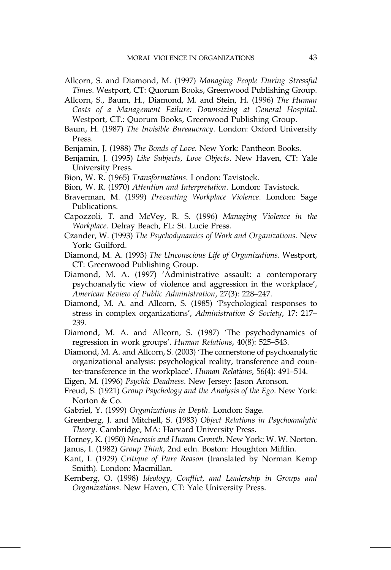Allcorn, S. and Diamond, M. (1997) Managing People During Stressful Times. Westport, CT: Quorum Books, Greenwood Publishing Group.

Allcorn, S., Baum, H., Diamond, M. and Stein, H. (1996) The Human Costs of a Management Failure: Downsizing at General Hospital. Westport, CT.: Quorum Books, Greenwood Publishing Group.

Baum, H. (1987) The Invisible Bureaucracy. London: Oxford University Press.

Benjamin, J. (1988) The Bonds of Love. New York: Pantheon Books.

- Benjamin, J. (1995) Like Subjects, Love Objects. New Haven, CT: Yale University Press.
- Bion, W. R. (1965) Transformations. London: Tavistock.
- Bion, W. R. (1970) Attention and Interpretation. London: Tavistock.
- Braverman, M. (1999) Preventing Workplace Violence. London: Sage Publications.
- Capozzoli, T. and McVey, R. S. (1996) Managing Violence in the Workplace. Delray Beach, FL: St. Lucie Press.
- Czander, W. (1993) The Psychodynamics of Work and Organizations. New York: Guilford.
- Diamond, M. A. (1993) The Unconscious Life of Organizations. Westport, CT: Greenwood Publishing Group.
- Diamond, M. A. (1997) 'Administrative assault: a contemporary psychoanalytic view of violence and aggression in the workplace', American Review of Public Administration, 27(3): 228–247.
- Diamond, M. A. and Allcorn, S. (1985) `Psychological responses to stress in complex organizations', Administration & Society, 17: 217– 239.
- Diamond, M. A. and Allcorn, S. (1987) `The psychodynamics of regression in work groups'. Human Relations, 40(8): 525-543.
- Diamond, M. A. and Allcorn, S. (2003) 'The cornerstone of psychoanalytic organizational analysis: psychological reality, transference and counter-transference in the workplace'. Human Relations, 56(4): 491–514.
- Eigen, M. (1996) Psychic Deadness. New Jersey: Jason Aronson.
- Freud, S. (1921) Group Psychology and the Analysis of the Ego. New York: Norton & Co.
- Gabriel, Y. (1999) Organizations in Depth. London: Sage.
- Greenberg, J. and Mitchell, S. (1983) Object Relations in Psychoanalytic Theory. Cambridge, MA: Harvard University Press.
- Horney, K. (1950) Neurosis and Human Growth. New York: W. W. Norton.
- Janus, I. (1982) Group Think, 2nd edn. Boston: Houghton Mifflin.
- Kant, I. (1929) Critique of Pure Reason (translated by Norman Kemp Smith). London: Macmillan.
- Kernberg, O. (1998) Ideology, Conflict, and Leadership in Groups and Organizations. New Haven, CT: Yale University Press.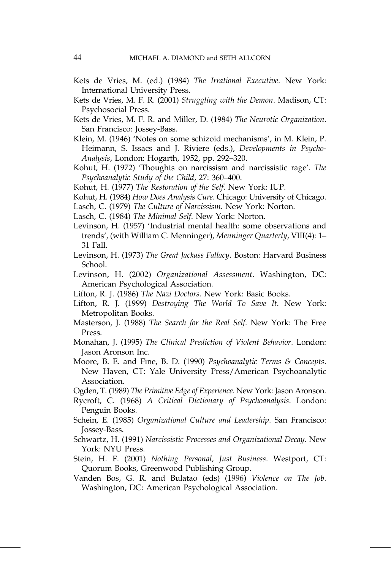- Kets de Vries, M. (ed.) (1984) The Irrational Executive. New York: International University Press.
- Kets de Vries, M. F. R. (2001) Struggling with the Demon. Madison, CT: Psychosocial Press.
- Kets de Vries, M. F. R. and Miller, D. (1984) The Neurotic Organization. San Francisco: Jossey-Bass.
- Klein, M. (1946) 'Notes on some schizoid mechanisms', in M. Klein, P. Heimann, S. Issacs and J. Riviere (eds.), Developments in Psycho-Analysis, London: Hogarth, 1952, pp. 292-320.
- Kohut, H. (1972) 'Thoughts on narcissism and narcissistic rage'. The Psychoanalytic Study of the Child, 27: 360–400.
- Kohut, H. (1977) The Restoration of the Self. New York: IUP.
- Kohut, H. (1984) How Does Analysis Cure. Chicago: University of Chicago.
- Lasch, C. (1979) The Culture of Narcissism. New York: Norton.
- Lasch, C. (1984) The Minimal Self. New York: Norton.
- Levinson, H. (1957) 'Industrial mental health: some observations and trends', (with William C. Menninger), Menninger Quarterly, VIII(4): 1± 31 Fall.
- Levinson, H. (1973) The Great Jackass Fallacy. Boston: Harvard Business School.
- Levinson, H. (2002) Organizational Assessment. Washington, DC: American Psychological Association.
- Lifton, R. J. (1986) The Nazi Doctors. New York: Basic Books.
- Lifton, R. J. (1999) Destroying The World To Save It. New York: Metropolitan Books.
- Masterson, J. (1988) The Search for the Real Self. New York: The Free Press.
- Monahan, J. (1995) The Clinical Prediction of Violent Behavior. London: Jason Aronson Inc.
- Moore, B. E. and Fine, B. D. (1990) Psychoanalytic Terms & Concepts. New Haven, CT: Yale University Press/American Psychoanalytic Association.
- Ogden, T. (1989) The Primitive Edge of Experience. New York: Jason Aronson.
- Rycroft, C. (1968) A Critical Dictionary of Psychoanalysis. London: Penguin Books.
- Schein, E. (1985) Organizational Culture and Leadership. San Francisco: Jossey-Bass.
- Schwartz, H. (1991) Narcissistic Processes and Organizational Decay. New York: NYU Press.
- Stein, H. F. (2001) Nothing Personal, Just Business. Westport, CT: Quorum Books, Greenwood Publishing Group.
- Vanden Bos, G. R. and Bulatao (eds) (1996) Violence on The Job. Washington, DC: American Psychological Association.